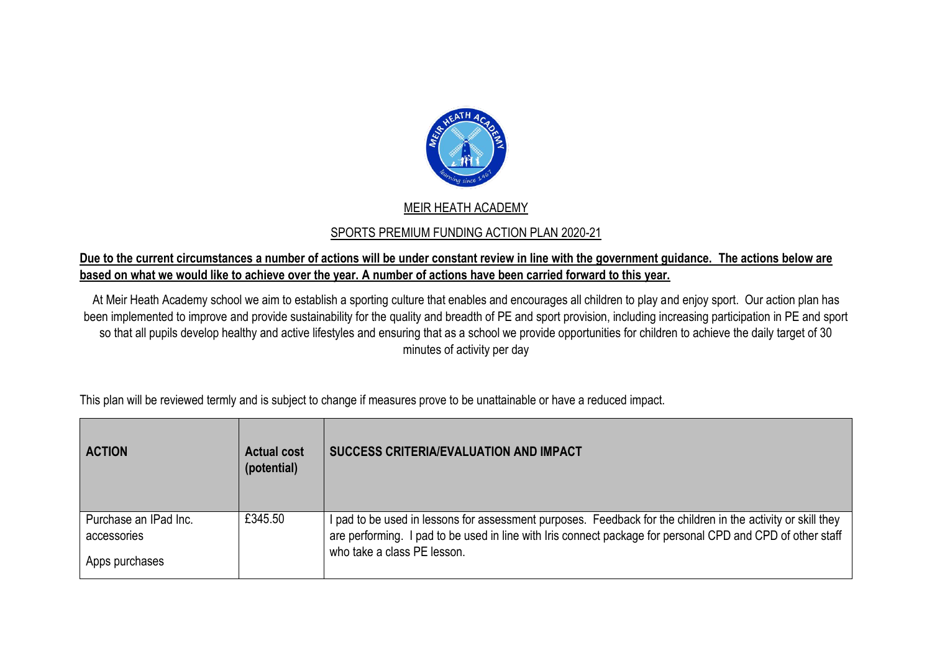

## MEIR HEATH ACADEMY

## SPORTS PREMIUM FUNDING ACTION PLAN 2020-21

## **Due to the current circumstances a number of actions will be under constant review in line with the government guidance. The actions below are based on what we would like to achieve over the year. A number of actions have been carried forward to this year.**

At Meir Heath Academy school we aim to establish a sporting culture that enables and encourages all children to play and enjoy sport. Our action plan has been implemented to improve and provide sustainability for the quality and breadth of PE and sport provision, including increasing participation in PE and sport so that all pupils develop healthy and active lifestyles and ensuring that as a school we provide opportunities for children to achieve the daily target of 30 minutes of activity per day

| <b>ACTION</b>                                          | <b>Actual cost</b><br>(potential) | <b>SUCCESS CRITERIA/EVALUATION AND IMPACT</b>                                                                                                                                                                                                             |
|--------------------------------------------------------|-----------------------------------|-----------------------------------------------------------------------------------------------------------------------------------------------------------------------------------------------------------------------------------------------------------|
| Purchase an IPad Inc.<br>accessories<br>Apps purchases | £345.50                           | I pad to be used in lessons for assessment purposes. Feedback for the children in the activity or skill they<br>are performing. I pad to be used in line with Iris connect package for personal CPD and CPD of other staff<br>who take a class PE lesson. |

This plan will be reviewed termly and is subject to change if measures prove to be unattainable or have a reduced impact.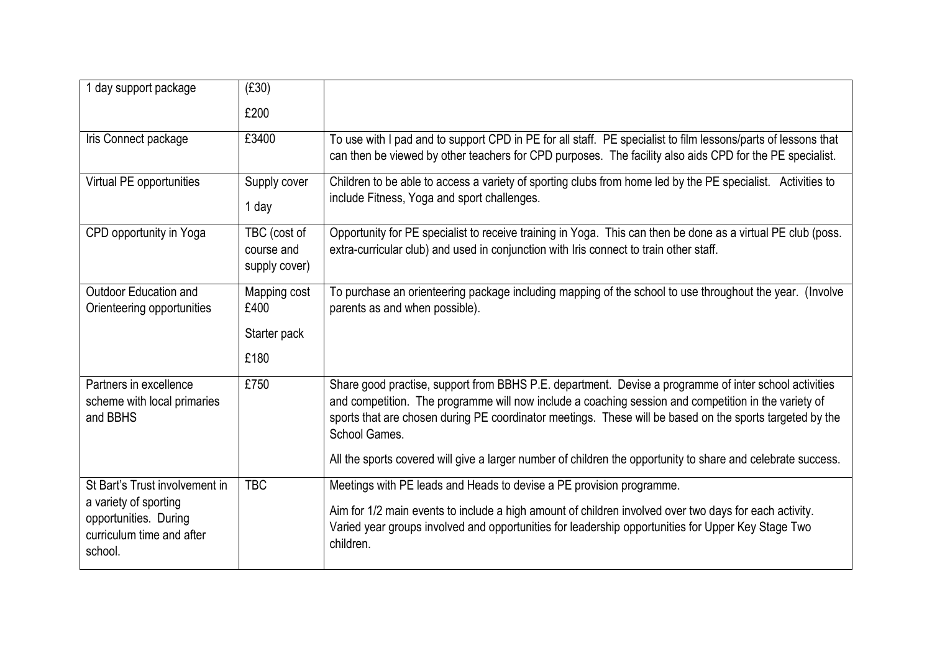| 1 day support package                                                                                                    | (E30)                                        |                                                                                                                                                                                                                                                                                                                                                                                                                                                            |
|--------------------------------------------------------------------------------------------------------------------------|----------------------------------------------|------------------------------------------------------------------------------------------------------------------------------------------------------------------------------------------------------------------------------------------------------------------------------------------------------------------------------------------------------------------------------------------------------------------------------------------------------------|
|                                                                                                                          | £200                                         |                                                                                                                                                                                                                                                                                                                                                                                                                                                            |
| Iris Connect package                                                                                                     | £3400                                        | To use with I pad and to support CPD in PE for all staff. PE specialist to film lessons/parts of lessons that<br>can then be viewed by other teachers for CPD purposes. The facility also aids CPD for the PE specialist.                                                                                                                                                                                                                                  |
| Virtual PE opportunities                                                                                                 | Supply cover<br>1 day                        | Children to be able to access a variety of sporting clubs from home led by the PE specialist. Activities to<br>include Fitness, Yoga and sport challenges.                                                                                                                                                                                                                                                                                                 |
| CPD opportunity in Yoga                                                                                                  | TBC (cost of<br>course and<br>supply cover)  | Opportunity for PE specialist to receive training in Yoga. This can then be done as a virtual PE club (poss.<br>extra-curricular club) and used in conjunction with Iris connect to train other staff.                                                                                                                                                                                                                                                     |
| Outdoor Education and<br>Orienteering opportunities                                                                      | Mapping cost<br>£400<br>Starter pack<br>£180 | To purchase an orienteering package including mapping of the school to use throughout the year. (Involve<br>parents as and when possible).                                                                                                                                                                                                                                                                                                                 |
| Partners in excellence<br>scheme with local primaries<br>and BBHS                                                        | £750                                         | Share good practise, support from BBHS P.E. department. Devise a programme of inter school activities<br>and competition. The programme will now include a coaching session and competition in the variety of<br>sports that are chosen during PE coordinator meetings. These will be based on the sports targeted by the<br>School Games.<br>All the sports covered will give a larger number of children the opportunity to share and celebrate success. |
| St Bart's Trust involvement in<br>a variety of sporting<br>opportunities. During<br>curriculum time and after<br>school. | <b>TBC</b>                                   | Meetings with PE leads and Heads to devise a PE provision programme.<br>Aim for 1/2 main events to include a high amount of children involved over two days for each activity.<br>Varied year groups involved and opportunities for leadership opportunities for Upper Key Stage Two<br>children.                                                                                                                                                          |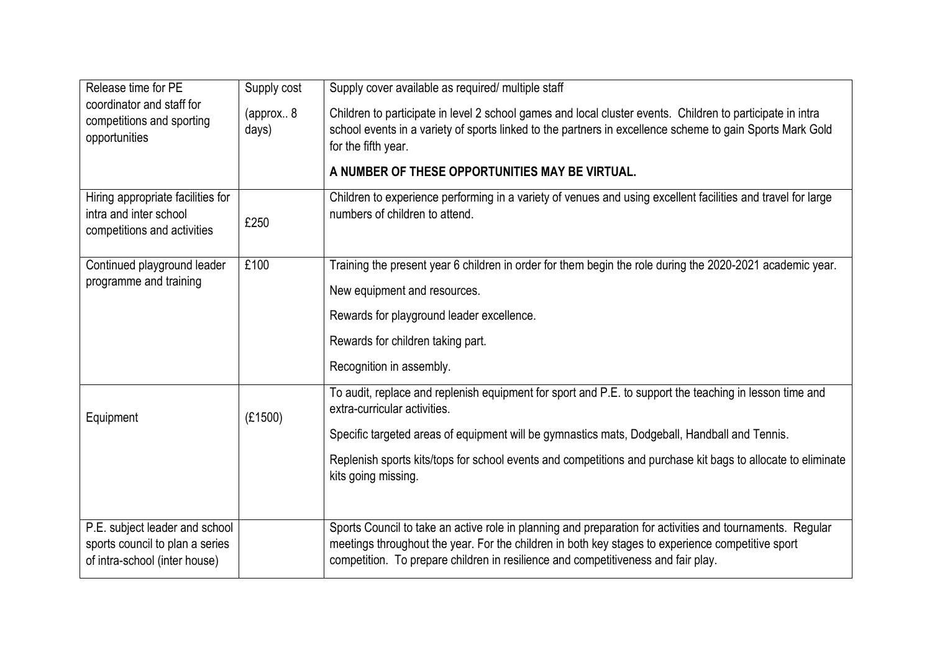| Release time for PE                                                                        | Supply cost        | Supply cover available as required/ multiple staff                                                                                                                                                                                             |
|--------------------------------------------------------------------------------------------|--------------------|------------------------------------------------------------------------------------------------------------------------------------------------------------------------------------------------------------------------------------------------|
| coordinator and staff for<br>competitions and sporting<br>opportunities                    | (approx 8<br>days) | Children to participate in level 2 school games and local cluster events. Children to participate in intra<br>school events in a variety of sports linked to the partners in excellence scheme to gain Sports Mark Gold<br>for the fifth year. |
|                                                                                            |                    | A NUMBER OF THESE OPPORTUNITIES MAY BE VIRTUAL.                                                                                                                                                                                                |
| Hiring appropriate facilities for<br>intra and inter school<br>competitions and activities | £250               | Children to experience performing in a variety of venues and using excellent facilities and travel for large<br>numbers of children to attend.                                                                                                 |
| Continued playground leader                                                                | £100               | Training the present year 6 children in order for them begin the role during the 2020-2021 academic year.                                                                                                                                      |
| programme and training                                                                     |                    | New equipment and resources.                                                                                                                                                                                                                   |
|                                                                                            |                    | Rewards for playground leader excellence.                                                                                                                                                                                                      |
|                                                                                            |                    | Rewards for children taking part.                                                                                                                                                                                                              |
|                                                                                            |                    | Recognition in assembly.                                                                                                                                                                                                                       |
| Equipment                                                                                  | (E1500)            | To audit, replace and replenish equipment for sport and P.E. to support the teaching in lesson time and<br>extra-curricular activities.                                                                                                        |
|                                                                                            |                    | Specific targeted areas of equipment will be gymnastics mats, Dodgeball, Handball and Tennis.                                                                                                                                                  |
|                                                                                            |                    | Replenish sports kits/tops for school events and competitions and purchase kit bags to allocate to eliminate<br>kits going missing.                                                                                                            |
| P.E. subject leader and school                                                             |                    | Sports Council to take an active role in planning and preparation for activities and tournaments. Regular                                                                                                                                      |
| sports council to plan a series<br>of intra-school (inter house)                           |                    | meetings throughout the year. For the children in both key stages to experience competitive sport<br>competition. To prepare children in resilience and competitiveness and fair play.                                                         |
|                                                                                            |                    |                                                                                                                                                                                                                                                |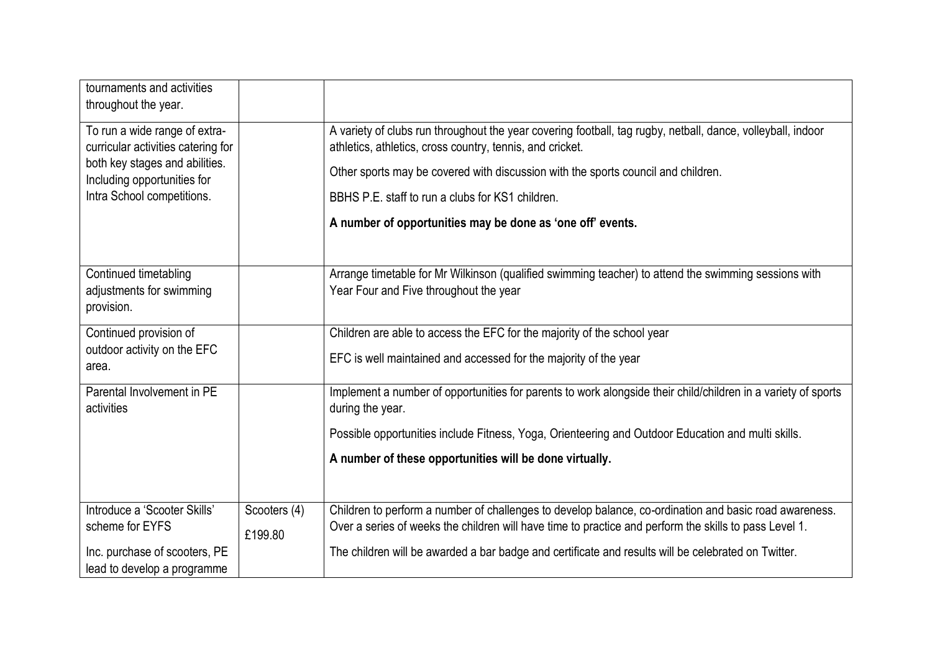| tournaments and activities<br>throughout the year.                  |                                                                                                                                                                                                                  |
|---------------------------------------------------------------------|------------------------------------------------------------------------------------------------------------------------------------------------------------------------------------------------------------------|
| To run a wide range of extra-<br>curricular activities catering for | A variety of clubs run throughout the year covering football, tag rugby, netball, dance, volleyball, indoor<br>athletics, athletics, cross country, tennis, and cricket.                                         |
| both key stages and abilities.<br>Including opportunities for       | Other sports may be covered with discussion with the sports council and children.                                                                                                                                |
| Intra School competitions.                                          | BBHS P.E. staff to run a clubs for KS1 children.                                                                                                                                                                 |
|                                                                     | A number of opportunities may be done as 'one off' events.                                                                                                                                                       |
|                                                                     |                                                                                                                                                                                                                  |
| Continued timetabling<br>adjustments for swimming<br>provision.     | Arrange timetable for Mr Wilkinson (qualified swimming teacher) to attend the swimming sessions with<br>Year Four and Five throughout the year                                                                   |
| Continued provision of                                              | Children are able to access the EFC for the majority of the school year                                                                                                                                          |
| outdoor activity on the EFC<br>area.                                | EFC is well maintained and accessed for the majority of the year                                                                                                                                                 |
| Parental Involvement in PE<br>activities                            | Implement a number of opportunities for parents to work alongside their child/children in a variety of sports<br>during the year.                                                                                |
|                                                                     | Possible opportunities include Fitness, Yoga, Orienteering and Outdoor Education and multi skills.                                                                                                               |
|                                                                     | A number of these opportunities will be done virtually.                                                                                                                                                          |
|                                                                     |                                                                                                                                                                                                                  |
| Introduce a 'Scooter Skills'<br>Scooters (4)<br>scheme for EYFS     | Children to perform a number of challenges to develop balance, co-ordination and basic road awareness.<br>Over a series of weeks the children will have time to practice and perform the skills to pass Level 1. |
| £199.80                                                             |                                                                                                                                                                                                                  |
| Inc. purchase of scooters, PE<br>lead to develop a programme        | The children will be awarded a bar badge and certificate and results will be celebrated on Twitter.                                                                                                              |